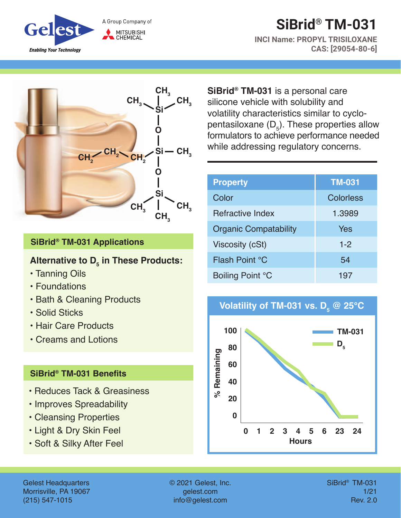

# **SiBrid® TM-031**

**INCI Name: PROPYL TRISILOXANE CAS: [29054-80-6]**



#### **SiBrid® TM-031 Applications**

### Alternative to D<sub>5</sub> in These Products:

- Tanning Oils
- Foundations
- Bath & Cleaning Products
- Solid Sticks
- Hair Care Products
- Creams and Lotions

#### **SiBrid® TM-031 Benefits**

- Reduces Tack & Greasiness
- Improves Spreadability
- Cleansing Properties
- Light & Dry Skin Feel
- Soft & Silky After Feel

**SiBrid® TM-031** is a personal care silicone vehicle with solubility and volatility characteristics similar to cyclopentasiloxane (D $_{\rm s}$ ). These properties allow formulators to achieve performance needed while addressing regulatory concerns.

| <b>Property</b>              | <b>TM-031</b> |
|------------------------------|---------------|
| Color                        | Colorless     |
| Refractive Index             | 1.3989        |
| <b>Organic Compatability</b> | Yes           |
| Viscosity (cSt)              | $1 - 2$       |
| Flash Point °C               | 54            |
| Boiling Point °C             | 197           |





Gelest Headquarters Morrisville, PA 19067 (215) 547-1015

© 2021 Gelest, Inc. gelest.com info@gelest.com

SiBrid® TM-031 1/21 Rev. 2.0